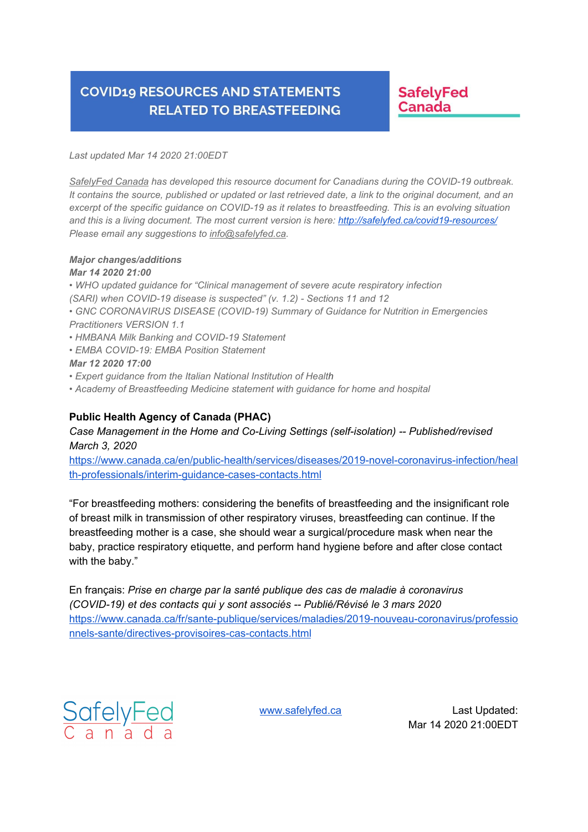### **SafelyFed** Canada

*Last updated Mar 14 2020 21:00EDT*

*SafelyFed Canada has developed this resource document for Canadians during the COVID-19 outbreak.* It contains the source, published or updated or last retrieved date, a link to the original document, and an excerpt of the specific guidance on COVID-19 as it relates to breastfeeding. This is an evolving situation *and this is a living document. The most current version is here: http://safelyfed.ca/covid19-resources/ Please email any suggestions to info@safelyfed.ca.*

#### *Major changes/additions*

#### *Mar 14 2020 21:00*

- *• WHO updated guidance for "Clinical management of severe acute respiratory infection*
- *(SARI) when COVID-19 disease is suspected" (v. 1.2) - Sections 11 and 12*
- *• GNC CORONAVIRUS DISEASE (COVID-19) Summary of Guidance for Nutrition in Emergencies Practitioners VERSION 1.1*
- *• HMBANA Milk Banking and COVID-19 Statement*
- *EMBA COVID-19: EMBA Position Statement*

#### *Mar 12 2020 17:00*

- *• Expert guidance from the Italian National Institution of Health*
- *• Academy of Breastfeeding Medicine statement with guidance for home and hospital*

#### **Public Health Agency of Canada (PHAC)**

#### *Case Management in the Home and Co-Living Settings (self-isolation) -- Published/revised March 3, 2020*

https://www.canada.ca/en/public-health/services/diseases/2019-novel-coronavirus-infection/heal th-professionals/interim-guidance-cases-contacts.html

"For breastfeeding mothers: considering the benefits of breastfeeding and the insignificant role of breast milk in transmission of other respiratory viruses, breastfeeding can continue. If the breastfeeding mother is a case, she should wear a surgical/procedure mask when near the baby, practice respiratory etiquette, and perform hand hygiene before and after close contact with the baby."

En français: *Prise en charge par la santé publique des cas de maladie à coronavirus (COVID-19) et des contacts qui y sont associés -- Publié/Révisé le 3 mars 2020* https://www.canada.ca/fr/sante-publique/services/maladies/2019-nouveau-coronavirus/professio nnels-sante/directives-provisoires-cas-contacts.html

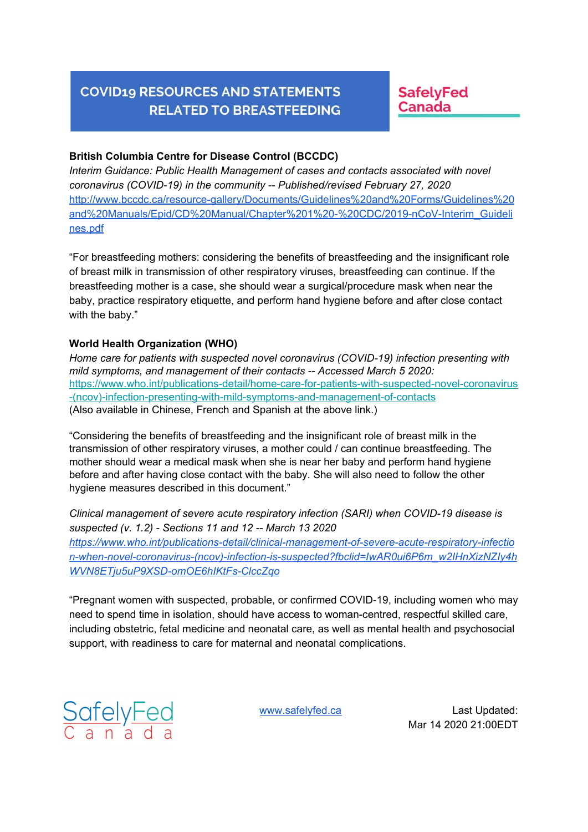**SafelyFed** Canada

#### **British Columbia Centre for Disease Control (BCCDC)**

*Interim Guidance: Public Health Management of cases and contacts associated with novel coronavirus (COVID-19) in the community -- Published/revised February 27, 2020* http://www.bccdc.ca/resource-gallery/Documents/Guidelines%20and%20Forms/Guidelines%20 and%20Manuals/Epid/CD%20Manual/Chapter%201%20-%20CDC/2019-nCoV-Interim\_Guideli nes.pdf

"For breastfeeding mothers: considering the benefits of breastfeeding and the insignificant role of breast milk in transmission of other respiratory viruses, breastfeeding can continue. If the breastfeeding mother is a case, she should wear a surgical/procedure mask when near the baby, practice respiratory etiquette, and perform hand hygiene before and after close contact with the baby."

#### **World Health Organization (WHO)**

*Home care for patients with suspected novel coronavirus (COVID-19) infection presenting with mild symptoms, and management of their contacts -- Accessed March 5 2020:* https://www.who.int/publications-detail/home-care-for-patients-with-suspected-novel-coronavirus -(ncov)-infection-presenting-with-mild-symptoms-and-management-of-contacts (Also available in Chinese, French and Spanish at the above link.)

"Considering the benefits of breastfeeding and the insignificant role of breast milk in the transmission of other respiratory viruses, a mother could / can continue breastfeeding. The mother should wear a medical mask when she is near her baby and perform hand hygiene before and after having close contact with the baby. She will also need to follow the other hygiene measures described in this document."

*Clinical management of severe acute respiratory infection (SARI) when COVID-19 disease is suspected (v. 1.2) - Sections 11 and 12 -- March 13 2020 https://www.who.int/publications-detail/clinical-management-of-severe-acute-respiratory-infectio n-when-novel-coronavirus-(ncov)-infection-is-suspected?fbclid=IwAR0ui6P6m\_w2IHnXizNZIy4h WVN8ETju5uP9XSD-omOE6hIKtFs-ClccZqo*

"Pregnant women with suspected, probable, or confirmed COVID-19, including women who may need to spend time in isolation, should have access to woman-centred, respectful skilled care, including obstetric, fetal medicine and neonatal care, as well as mental health and psychosocial support, with readiness to care for maternal and neonatal complications.

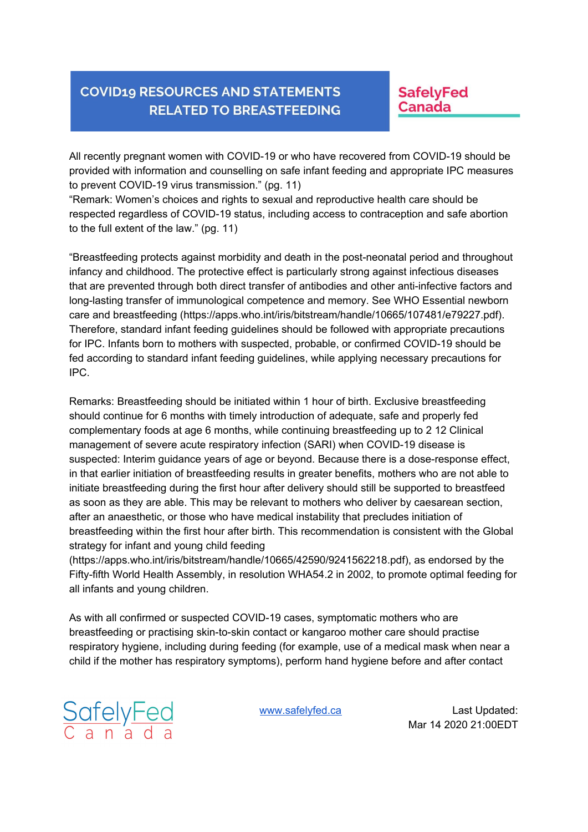**SafelyFed Canada** 

All recently pregnant women with COVID-19 or who have recovered from COVID-19 should be provided with information and counselling on safe infant feeding and appropriate IPC measures to prevent COVID-19 virus transmission." (pg. 11)

"Remark: Women's choices and rights to sexual and reproductive health care should be respected regardless of COVID-19 status, including access to contraception and safe abortion to the full extent of the law." (pg. 11)

"Breastfeeding protects against morbidity and death in the post-neonatal period and throughout infancy and childhood. The protective effect is particularly strong against infectious diseases that are prevented through both direct transfer of antibodies and other anti-infective factors and long-lasting transfer of immunological competence and memory. See WHO Essential newborn care and breastfeeding (https://apps.who.int/iris/bitstream/handle/10665/107481/e79227.pdf). Therefore, standard infant feeding guidelines should be followed with appropriate precautions for IPC. Infants born to mothers with suspected, probable, or confirmed COVID-19 should be fed according to standard infant feeding guidelines, while applying necessary precautions for IPC.

Remarks: Breastfeeding should be initiated within 1 hour of birth. Exclusive breastfeeding should continue for 6 months with timely introduction of adequate, safe and properly fed complementary foods at age 6 months, while continuing breastfeeding up to 2 12 Clinical management of severe acute respiratory infection (SARI) when COVID-19 disease is suspected: Interim guidance years of age or beyond. Because there is a dose-response effect, in that earlier initiation of breastfeeding results in greater benefits, mothers who are not able to initiate breastfeeding during the first hour after delivery should still be supported to breastfeed as soon as they are able. This may be relevant to mothers who deliver by caesarean section, after an anaesthetic, or those who have medical instability that precludes initiation of breastfeeding within the first hour after birth. This recommendation is consistent with the Global strategy for infant and young child feeding

(https://apps.who.int/iris/bitstream/handle/10665/42590/9241562218.pdf), as endorsed by the Fifty-fifth World Health Assembly, in resolution WHA54.2 in 2002, to promote optimal feeding for all infants and young children.

As with all confirmed or suspected COVID-19 cases, symptomatic mothers who are breastfeeding or practising skin-to-skin contact or kangaroo mother care should practise respiratory hygiene, including during feeding (for example, use of a medical mask when near a child if the mother has respiratory symptoms), perform hand hygiene before and after contact

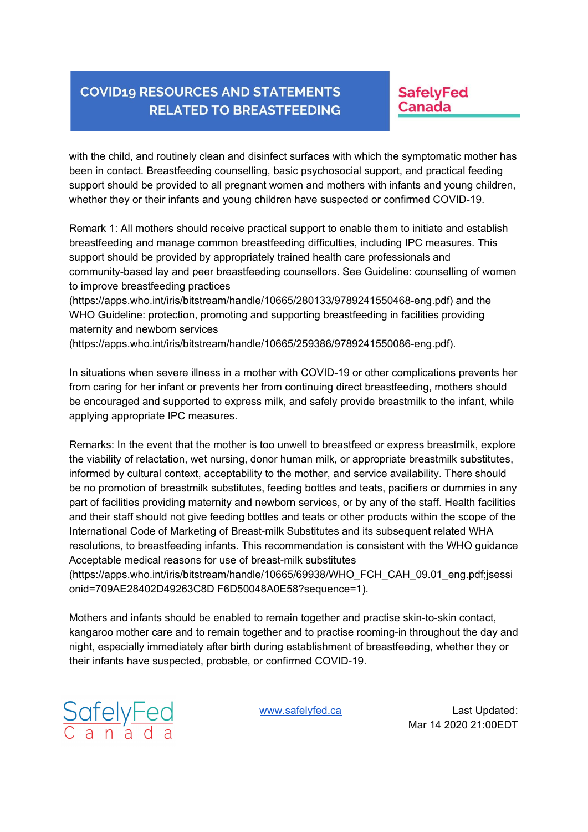### **SafelyFed Canada**

with the child, and routinely clean and disinfect surfaces with which the symptomatic mother has been in contact. Breastfeeding counselling, basic psychosocial support, and practical feeding support should be provided to all pregnant women and mothers with infants and young children, whether they or their infants and young children have suspected or confirmed COVID-19.

Remark 1: All mothers should receive practical support to enable them to initiate and establish breastfeeding and manage common breastfeeding difficulties, including IPC measures. This support should be provided by appropriately trained health care professionals and community-based lay and peer breastfeeding counsellors. See Guideline: counselling of women to improve breastfeeding practices

(https://apps.who.int/iris/bitstream/handle/10665/280133/9789241550468-eng.pdf) and the WHO Guideline: protection, promoting and supporting breastfeeding in facilities providing maternity and newborn services

(https://apps.who.int/iris/bitstream/handle/10665/259386/9789241550086-eng.pdf).

In situations when severe illness in a mother with COVID-19 or other complications prevents her from caring for her infant or prevents her from continuing direct breastfeeding, mothers should be encouraged and supported to express milk, and safely provide breastmilk to the infant, while applying appropriate IPC measures.

Remarks: In the event that the mother is too unwell to breastfeed or express breastmilk, explore the viability of relactation, wet nursing, donor human milk, or appropriate breastmilk substitutes, informed by cultural context, acceptability to the mother, and service availability. There should be no promotion of breastmilk substitutes, feeding bottles and teats, pacifiers or dummies in any part of facilities providing maternity and newborn services, or by any of the staff. Health facilities and their staff should not give feeding bottles and teats or other products within the scope of the International Code of Marketing of Breast-milk Substitutes and its subsequent related WHA resolutions, to breastfeeding infants. This recommendation is consistent with the WHO guidance Acceptable medical reasons for use of breast-milk substitutes

(https://apps.who.int/iris/bitstream/handle/10665/69938/WHO\_FCH\_CAH\_09.01\_eng.pdf;jsessi onid=709AE28402D49263C8D F6D50048A0E58?sequence=1).

Mothers and infants should be enabled to remain together and practise skin-to-skin contact, kangaroo mother care and to remain together and to practise rooming-in throughout the day and night, especially immediately after birth during establishment of breastfeeding, whether they or their infants have suspected, probable, or confirmed COVID-19.

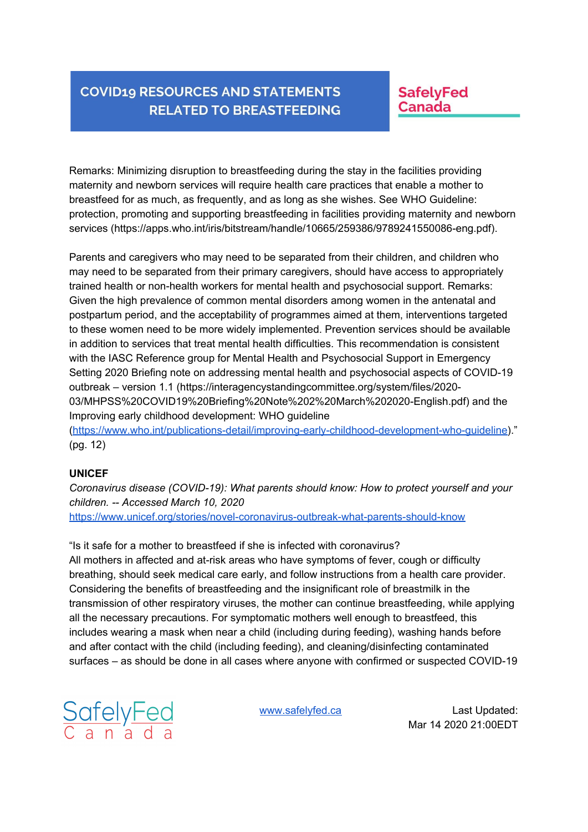### **SafelyFed** Canada

Remarks: Minimizing disruption to breastfeeding during the stay in the facilities providing maternity and newborn services will require health care practices that enable a mother to breastfeed for as much, as frequently, and as long as she wishes. See WHO Guideline: protection, promoting and supporting breastfeeding in facilities providing maternity and newborn services (https://apps.who.int/iris/bitstream/handle/10665/259386/9789241550086-eng.pdf).

Parents and caregivers who may need to be separated from their children, and children who may need to be separated from their primary caregivers, should have access to appropriately trained health or non-health workers for mental health and psychosocial support. Remarks: Given the high prevalence of common mental disorders among women in the antenatal and postpartum period, and the acceptability of programmes aimed at them, interventions targeted to these women need to be more widely implemented. Prevention services should be available in addition to services that treat mental health difficulties. This recommendation is consistent with the IASC Reference group for Mental Health and Psychosocial Support in Emergency Setting 2020 Briefing note on addressing mental health and psychosocial aspects of COVID-19 outbreak – version 1.1 (https://interagencystandingcommittee.org/system/files/2020- 03/MHPSS%20COVID19%20Briefing%20Note%202%20March%202020-English.pdf) and the Improving early childhood development: WHO guideline (https://www.who.int/publications-detail/improving-early-childhood-development-who-guideline)."

(pg. 12)

#### **UNICEF**

*Coronavirus disease (COVID-19): What parents should know: How to protect yourself and your children. -- Accessed March 10, 2020* https://www.unicef.org/stories/novel-coronavirus-outbreak-what-parents-should-know

#### "Is it safe for a mother to breastfeed if she is infected with coronavirus?

All mothers in affected and at-risk areas who have symptoms of fever, cough or difficulty breathing, should seek medical care early, and follow instructions from a health care provider. Considering the benefits of breastfeeding and the insignificant role of breastmilk in the transmission of other respiratory viruses, the mother can continue breastfeeding, while applying all the necessary precautions. For symptomatic mothers well enough to breastfeed, this includes wearing a mask when near a child (including during feeding), washing hands before and after contact with the child (including feeding), and cleaning/disinfecting contaminated surfaces – as should be done in all cases where anyone with confirmed or suspected COVID-19

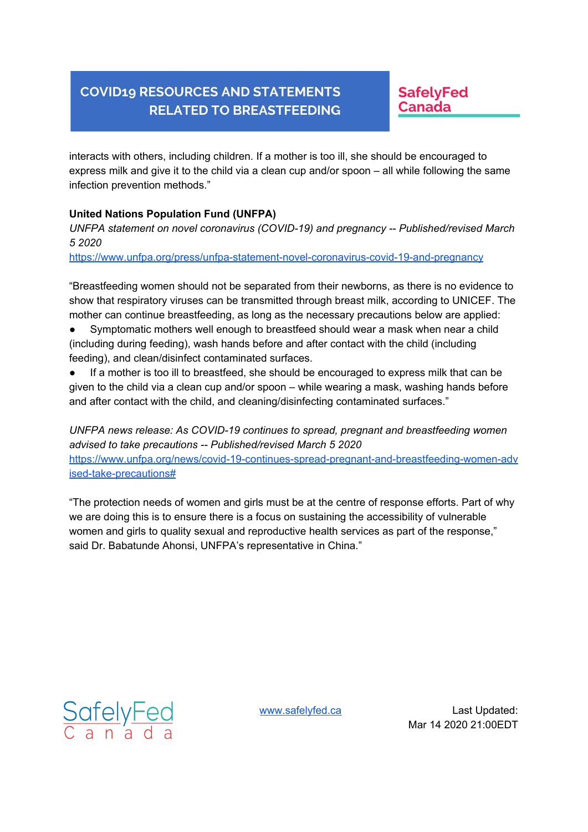**SafelyFed** Canada

interacts with others, including children. If a mother is too ill, she should be encouraged to express milk and give it to the child via a clean cup and/or spoon – all while following the same infection prevention methods."

#### **United Nations Population Fund (UNFPA)**

*UNFPA statement on novel coronavirus (COVID-19) and pregnancy -- Published/revised March 5 2020*

https://www.unfpa.org/press/unfpa-statement-novel-coronavirus-covid-19-and-pregnancy

"Breastfeeding women should not be separated from their newborns, as there is no evidence to show that respiratory viruses can be transmitted through breast milk, according to UNICEF. The mother can continue breastfeeding, as long as the necessary precautions below are applied:

- Symptomatic mothers well enough to breastfeed should wear a mask when near a child (including during feeding), wash hands before and after contact with the child (including feeding), and clean/disinfect contaminated surfaces.
- If a mother is too ill to breastfeed, she should be encouraged to express milk that can be given to the child via a clean cup and/or spoon – while wearing a mask, washing hands before and after contact with the child, and cleaning/disinfecting contaminated surfaces."

*UNFPA news release: As COVID-19 continues to spread, pregnant and breastfeeding women advised to take precautions -- Published/revised March 5 2020* https://www.unfpa.org/news/covid-19-continues-spread-pregnant-and-breastfeeding-women-adv ised-take-precautions#

"The protection needs of women and girls must be at the centre of response efforts. Part of why we are doing this is to ensure there is a focus on sustaining the accessibility of vulnerable women and girls to quality sexual and reproductive health services as part of the response," said Dr. Babatunde Ahonsi, UNFPA's representative in China."

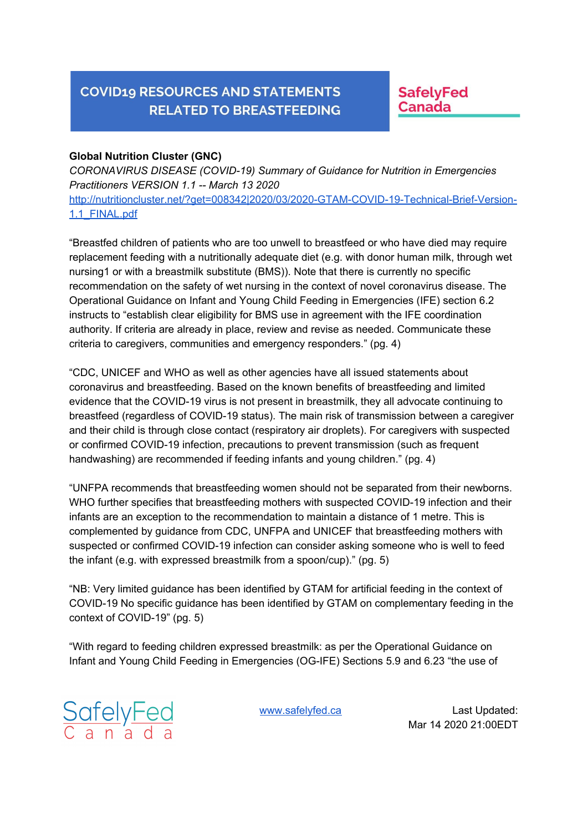**SafelyFed Canada** 

#### **Global Nutrition Cluster (GNC)**

*CORONAVIRUS DISEASE (COVID-19) Summary of Guidance for Nutrition in Emergencies Practitioners VERSION 1.1 -- March 13 2020* http://nutritioncluster.net/?get=008342|2020/03/2020-GTAM-COVID-19-Technical-Brief-Version-1.1\_FINAL.pdf

"Breastfed children of patients who are too unwell to breastfeed or who have died may require replacement feeding with a nutritionally adequate diet (e.g. with donor human milk, through wet nursing1 or with a breastmilk substitute (BMS)). Note that there is currently no specific recommendation on the safety of wet nursing in the context of novel coronavirus disease. The Operational Guidance on Infant and Young Child Feeding in Emergencies (IFE) section 6.2 instructs to "establish clear eligibility for BMS use in agreement with the IFE coordination authority. If criteria are already in place, review and revise as needed. Communicate these criteria to caregivers, communities and emergency responders." (pg. 4)

"CDC, UNICEF and WHO as well as other agencies have all issued statements about coronavirus and breastfeeding. Based on the known benefits of breastfeeding and limited evidence that the COVID-19 virus is not present in breastmilk, they all advocate continuing to breastfeed (regardless of COVID-19 status). The main risk of transmission between a caregiver and their child is through close contact (respiratory air droplets). For caregivers with suspected or confirmed COVID-19 infection, precautions to prevent transmission (such as frequent handwashing) are recommended if feeding infants and young children." (pg. 4)

"UNFPA recommends that breastfeeding women should not be separated from their newborns. WHO further specifies that breastfeeding mothers with suspected COVID-19 infection and their infants are an exception to the recommendation to maintain a distance of 1 metre. This is complemented by guidance from CDC, UNFPA and UNICEF that breastfeeding mothers with suspected or confirmed COVID-19 infection can consider asking someone who is well to feed the infant (e.g. with expressed breastmilk from a spoon/cup)." (pg. 5)

"NB: Very limited guidance has been identified by GTAM for artificial feeding in the context of COVID-19 No specific guidance has been identified by GTAM on complementary feeding in the context of COVID-19" (pg. 5)

"With regard to feeding children expressed breastmilk: as per the Operational Guidance on Infant and Young Child Feeding in Emergencies (OG-IFE) Sections 5.9 and 6.23 "the use of

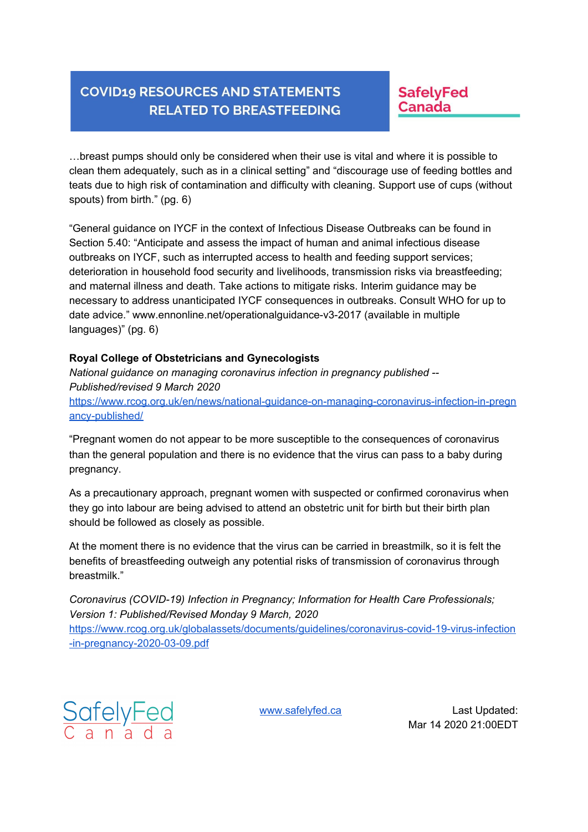### **SafelyFed** Canada

…breast pumps should only be considered when their use is vital and where it is possible to clean them adequately, such as in a clinical setting" and "discourage use of feeding bottles and teats due to high risk of contamination and difficulty with cleaning. Support use of cups (without spouts) from birth." (pg. 6)

"General guidance on IYCF in the context of Infectious Disease Outbreaks can be found in Section 5.40: "Anticipate and assess the impact of human and animal infectious disease outbreaks on IYCF, such as interrupted access to health and feeding support services; deterioration in household food security and livelihoods, transmission risks via breastfeeding; and maternal illness and death. Take actions to mitigate risks. Interim guidance may be necessary to address unanticipated IYCF consequences in outbreaks. Consult WHO for up to date advice." www.ennonline.net/operationalguidance-v3-2017 (available in multiple languages)" (pg. 6)

#### **Royal College of Obstetricians and Gynecologists**

*National guidance on managing coronavirus infection in pregnancy published -- Published/revised 9 March 2020* https://www.rcog.org.uk/en/news/national-guidance-on-managing-coronavirus-infection-in-pregn ancy-published/

"Pregnant women do not appear to be more susceptible to the consequences of coronavirus than the general population and there is no evidence that the virus can pass to a baby during pregnancy.

As a precautionary approach, pregnant women with suspected or confirmed coronavirus when they go into labour are being advised to attend an obstetric unit for birth but their birth plan should be followed as closely as possible.

At the moment there is no evidence that the virus can be carried in breastmilk, so it is felt the benefits of breastfeeding outweigh any potential risks of transmission of coronavirus through breastmilk."

*Coronavirus (COVID-19) Infection in Pregnancy; Information for Health Care Professionals; Version 1: Published/Revised Monday 9 March, 2020* https://www.rcog.org.uk/globalassets/documents/guidelines/coronavirus-covid-19-virus-infection -in-pregnancy-2020-03-09.pdf

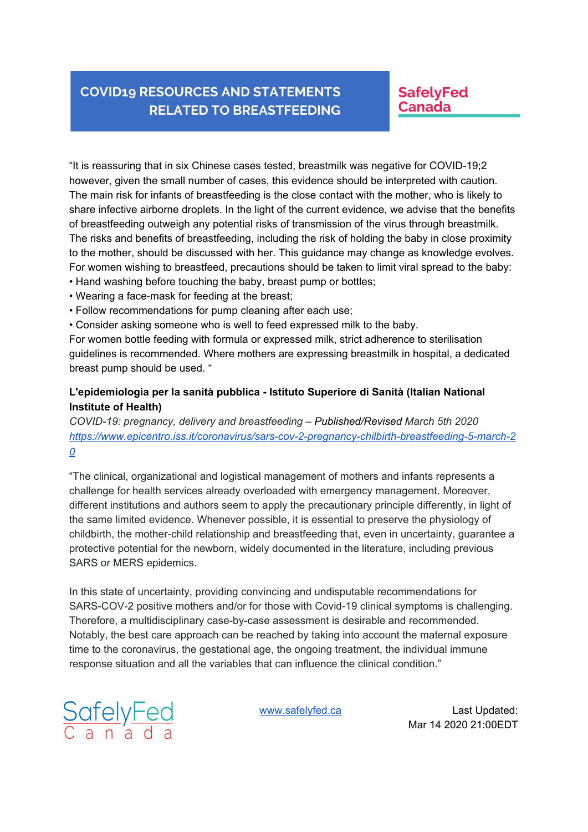### **SafelyFed** Canada

"It is reassuring that in six Chinese cases tested, breastmilk was negative for COVID-19;2 however, given the small number of cases, this evidence should be interpreted with caution. The main risk for infants of breastfeeding is the close contact with the mother, who is likely to share infective airborne droplets. In the light of the current evidence, we advise that the benefits of breastfeeding outweigh any potential risks of transmission of the virus through breastmilk. The risks and benefits of breastfeeding, including the risk of holding the baby in close proximity to the mother, should be discussed with her. This guidance may change as knowledge evolves. For women wishing to breastfeed, precautions should be taken to limit viral spread to the baby:

- Hand washing before touching the baby, breast pump or bottles;
- Wearing a face-mask for feeding at the breast;
- Follow recommendations for pump cleaning after each use;
- Consider asking someone who is well to feed expressed milk to the baby.

For women bottle feeding with formula or expressed milk, strict adherence to sterilisation guidelines is recommended. Where mothers are expressing breastmilk in hospital, a dedicated breast pump should be used. "

#### **L'epidemiologia per la sanità pubblica - Istituto Superiore di Sanità (Italian National Institute of Health)**

*COVID-19: pregnancy, delivery and breastfeeding – Published/Revised March 5th 2020 https://www.epicentro.iss.it/coronavirus/sars-cov-2-pregnancy-chilbirth-breastfeeding-5-march-2 0*

"The clinical, organizational and logistical management of mothers and infants represents a challenge for health services already overloaded with emergency management. Moreover, different institutions and authors seem to apply the precautionary principle differently, in light of the same limited evidence. Whenever possible, it is essential to preserve the physiology of childbirth, the mother-child relationship and breastfeeding that, even in uncertainty, guarantee a protective potential for the newborn, widely documented in the literature, including previous SARS or MERS epidemics.

In this state of uncertainty, providing convincing and undisputable recommendations for SARS-COV-2 positive mothers and/or for those with Covid-19 clinical symptoms is challenging. Therefore, a multidisciplinary case-by-case assessment is desirable and recommended. Notably, the best care approach can be reached by taking into account the maternal exposure time to the coronavirus, the gestational age, the ongoing treatment, the individual immune response situation and all the variables that can influence the clinical condition."

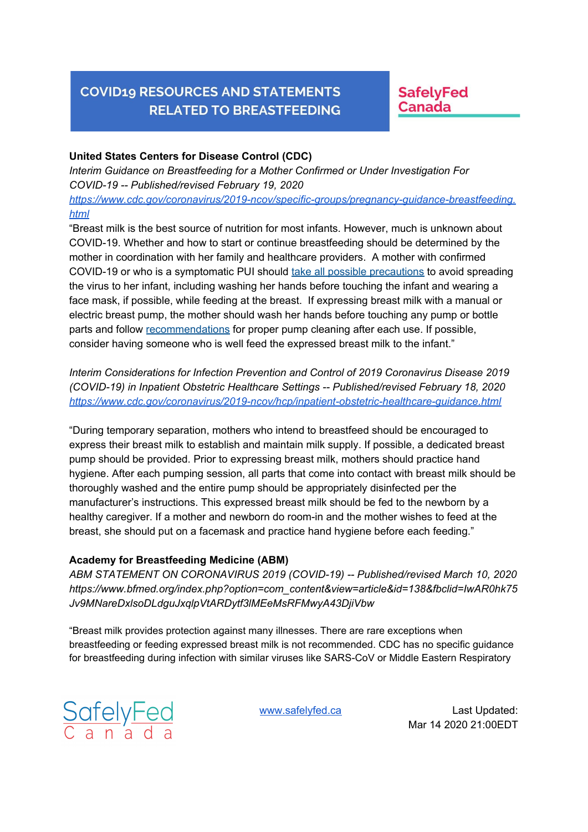### **SafelyFed** Canada

#### **United States Centers for Disease Control (CDC)**

*Interim Guidance on Breastfeeding for a Mother Confirmed or Under Investigation For COVID-19 -- Published/revised February 19, 2020 https://www.cdc.gov/coronavirus/2019-ncov/specific-groups/pregnancy-guidance-breastfeeding. html*

"Breast milk is the best source of nutrition for most infants. However, much is unknown about COVID-19. Whether and how to start or continue breastfeeding should be determined by the mother in coordination with her family and healthcare providers. A mother with confirmed COVID-19 or who is a symptomatic PUI should take all possible precautions to avoid spreading the virus to her infant, including washing her hands before touching the infant and wearing a face mask, if possible, while feeding at the breast. If expressing breast milk with a manual or electric breast pump, the mother should wash her hands before touching any pump or bottle parts and follow recommendations for proper pump cleaning after each use. If possible, consider having someone who is well feed the expressed breast milk to the infant."

*Interim Considerations for Infection Prevention and Control of 2019 Coronavirus Disease 2019 (COVID-19) in Inpatient Obstetric Healthcare Settings -- Published/revised February 18, 2020 https://www.cdc.gov/coronavirus/2019-ncov/hcp/inpatient-obstetric-healthcare-guidance.html*

"During temporary separation, mothers who intend to breastfeed should be encouraged to express their breast milk to establish and maintain milk supply. If possible, a dedicated breast pump should be provided. Prior to expressing breast milk, mothers should practice hand hygiene. After each pumping session, all parts that come into contact with breast milk should be thoroughly washed and the entire pump should be appropriately disinfected per the manufacturer's instructions. This expressed breast milk should be fed to the newborn by a healthy caregiver. If a mother and newborn do room-in and the mother wishes to feed at the breast, she should put on a facemask and practice hand hygiene before each feeding."

#### **Academy for Breastfeeding Medicine (ABM)**

*ABM STATEMENT ON CORONAVIRUS 2019 (COVID-19) -- Published/revised March 10, 2020 https://www.bfmed.org/index.php?option=com\_content&view=article&id=138&fbclid=IwAR0hk75 Jv9MNareDxlsoDLdguJxqlpVtARDytf3lMEeMsRFMwyA43DjiVbw*

"Breast milk provides protection against many illnesses. There are rare exceptions when breastfeeding or feeding expressed breast milk is not recommended. CDC has no specific guidance for breastfeeding during infection with similar viruses like SARS-CoV or Middle Eastern Respiratory

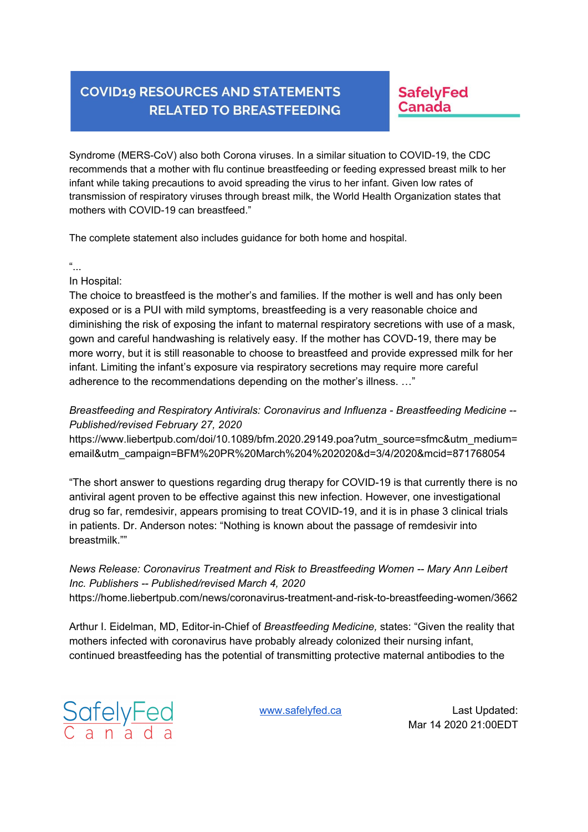**SafelyFed Canada** 

Syndrome (MERS-CoV) also both Corona viruses. In a similar situation to COVID-19, the CDC recommends that a mother with flu continue breastfeeding or feeding expressed breast milk to her infant while taking precautions to avoid spreading the virus to her infant. Given low rates of transmission of respiratory viruses through breast milk, the World Health Organization states that mothers with COVID-19 can breastfeed."

The complete statement also includes guidance for both home and hospital.

#### "...

In Hospital:

The choice to breastfeed is the mother's and families. If the mother is well and has only been exposed or is a PUI with mild symptoms, breastfeeding is a very reasonable choice and diminishing the risk of exposing the infant to maternal respiratory secretions with use of a mask, gown and careful handwashing is relatively easy. If the mother has COVD-19, there may be more worry, but it is still reasonable to choose to breastfeed and provide expressed milk for her infant. Limiting the infant's exposure via respiratory secretions may require more careful adherence to the recommendations depending on the mother's illness. …"

*Breastfeeding and Respiratory Antivirals: Coronavirus and Influenza - Breastfeeding Medicine -- Published/revised February 27, 2020*

https://www.liebertpub.com/doi/10.1089/bfm.2020.29149.poa?utm\_source=sfmc&utm\_medium= email&utm\_campaign=BFM%20PR%20March%204%202020&d=3/4/2020&mcid=871768054

"The short answer to questions regarding drug therapy for COVID-19 is that currently there is no antiviral agent proven to be effective against this new infection. However, one investigational drug so far, remdesivir, appears promising to treat COVID-19, and it is in phase 3 clinical trials in patients. Dr. Anderson notes: "Nothing is known about the passage of remdesivir into breastmilk.""

### *News Release: Coronavirus Treatment and Risk to Breastfeeding Women -- Mary Ann Leibert Inc. Publishers -- Published/revised March 4, 2020*

https://home.liebertpub.com/news/coronavirus-treatment-and-risk-to-breastfeeding-women/3662

Arthur I. Eidelman, MD, Editor-in-Chief of *Breastfeeding Medicine,* states: "Given the reality that mothers infected with coronavirus have probably already colonized their nursing infant, continued breastfeeding has the potential of transmitting protective maternal antibodies to the

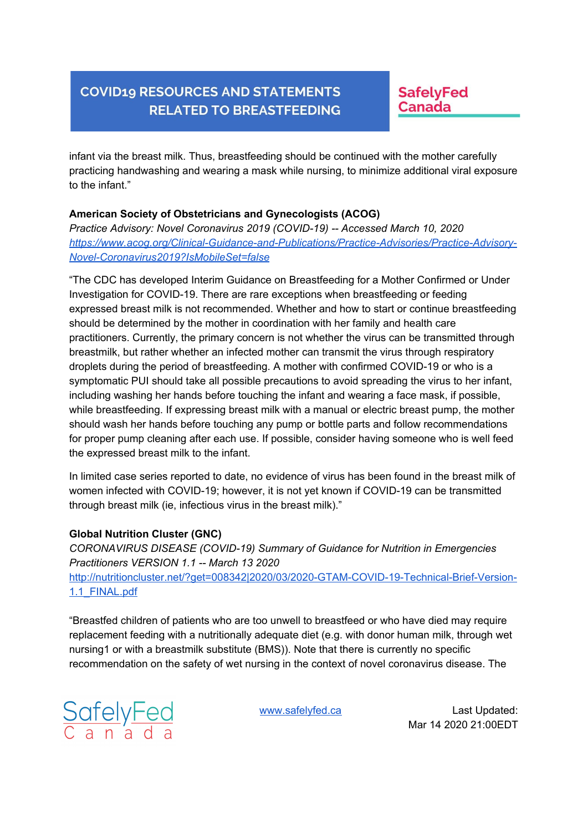**SafelyFed Canada** 

infant via the breast milk. Thus, breastfeeding should be continued with the mother carefully practicing handwashing and wearing a mask while nursing, to minimize additional viral exposure to the infant."

#### **American Society of Obstetricians and Gynecologists (ACOG)**

*Practice Advisory: Novel Coronavirus 2019 (COVID-19) -- Accessed March 10, 2020 https://www.acog.org/Clinical-Guidance-and-Publications/Practice-Advisories/Practice-Advisory-Novel-Coronavirus2019?IsMobileSet=false*

"The CDC has developed Interim Guidance on Breastfeeding for a Mother Confirmed or Under Investigation for COVID-19. There are rare exceptions when breastfeeding or feeding expressed breast milk is not recommended. Whether and how to start or continue breastfeeding should be determined by the mother in coordination with her family and health care practitioners. Currently, the primary concern is not whether the virus can be transmitted through breastmilk, but rather whether an infected mother can transmit the virus through respiratory droplets during the period of breastfeeding. A mother with confirmed COVID-19 or who is a symptomatic PUI should take all possible precautions to avoid spreading the virus to her infant, including washing her hands before touching the infant and wearing a face mask, if possible, while breastfeeding. If expressing breast milk with a manual or electric breast pump, the mother should wash her hands before touching any pump or bottle parts and follow recommendations for proper pump cleaning after each use. If possible, consider having someone who is well feed the expressed breast milk to the infant.

In limited case series reported to date, no evidence of virus has been found in the breast milk of women infected with COVID-19; however, it is not yet known if COVID-19 can be transmitted through breast milk (ie, infectious virus in the breast milk)."

#### **Global Nutrition Cluster (GNC)**

*CORONAVIRUS DISEASE (COVID-19) Summary of Guidance for Nutrition in Emergencies Practitioners VERSION 1.1 -- March 13 2020* http://nutritioncluster.net/?get=008342|2020/03/2020-GTAM-COVID-19-Technical-Brief-Version-1.1\_FINAL.pdf

"Breastfed children of patients who are too unwell to breastfeed or who have died may require replacement feeding with a nutritionally adequate diet (e.g. with donor human milk, through wet nursing1 or with a breastmilk substitute (BMS)). Note that there is currently no specific recommendation on the safety of wet nursing in the context of novel coronavirus disease. The

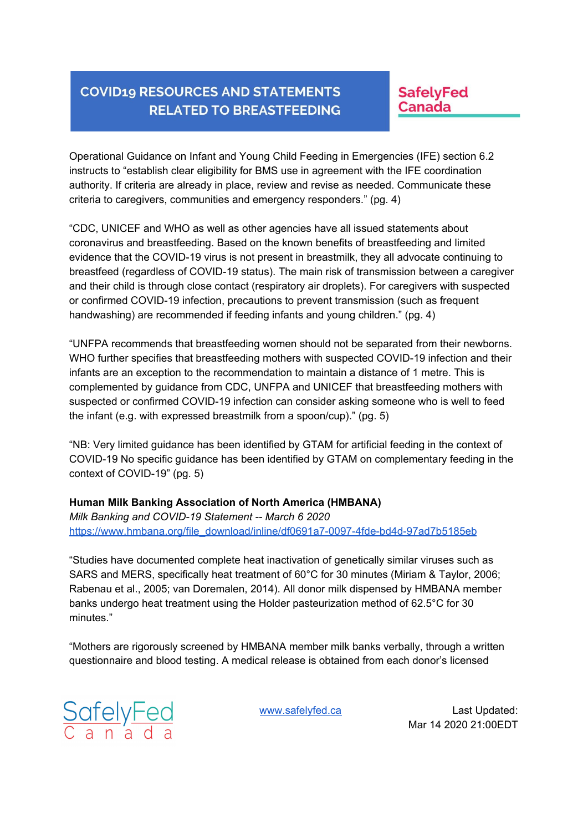**SafelyFed** Canada

Operational Guidance on Infant and Young Child Feeding in Emergencies (IFE) section 6.2 instructs to "establish clear eligibility for BMS use in agreement with the IFE coordination authority. If criteria are already in place, review and revise as needed. Communicate these criteria to caregivers, communities and emergency responders." (pg. 4)

"CDC, UNICEF and WHO as well as other agencies have all issued statements about coronavirus and breastfeeding. Based on the known benefits of breastfeeding and limited evidence that the COVID-19 virus is not present in breastmilk, they all advocate continuing to breastfeed (regardless of COVID-19 status). The main risk of transmission between a caregiver and their child is through close contact (respiratory air droplets). For caregivers with suspected or confirmed COVID-19 infection, precautions to prevent transmission (such as frequent handwashing) are recommended if feeding infants and young children." (pg. 4)

"UNFPA recommends that breastfeeding women should not be separated from their newborns. WHO further specifies that breastfeeding mothers with suspected COVID-19 infection and their infants are an exception to the recommendation to maintain a distance of 1 metre. This is complemented by guidance from CDC, UNFPA and UNICEF that breastfeeding mothers with suspected or confirmed COVID-19 infection can consider asking someone who is well to feed the infant (e.g. with expressed breastmilk from a spoon/cup)." (pg. 5)

"NB: Very limited guidance has been identified by GTAM for artificial feeding in the context of COVID-19 No specific guidance has been identified by GTAM on complementary feeding in the context of COVID-19" (pg. 5)

#### **Human Milk Banking Association of North America (HMBANA)**

*Milk Banking and COVID-19 Statement -- March 6 2020* https://www.hmbana.org/file\_download/inline/df0691a7-0097-4fde-bd4d-97ad7b5185eb

"Studies have documented complete heat inactivation of genetically similar viruses such as SARS and MERS, specifically heat treatment of 60°C for 30 minutes (Miriam & Taylor, 2006; Rabenau et al., 2005; van Doremalen, 2014). All donor milk dispensed by HMBANA member banks undergo heat treatment using the Holder pasteurization method of 62.5°C for 30 minutes."

"Mothers are rigorously screened by HMBANA member milk banks verbally, through a written questionnaire and blood testing. A medical release is obtained from each donor's licensed

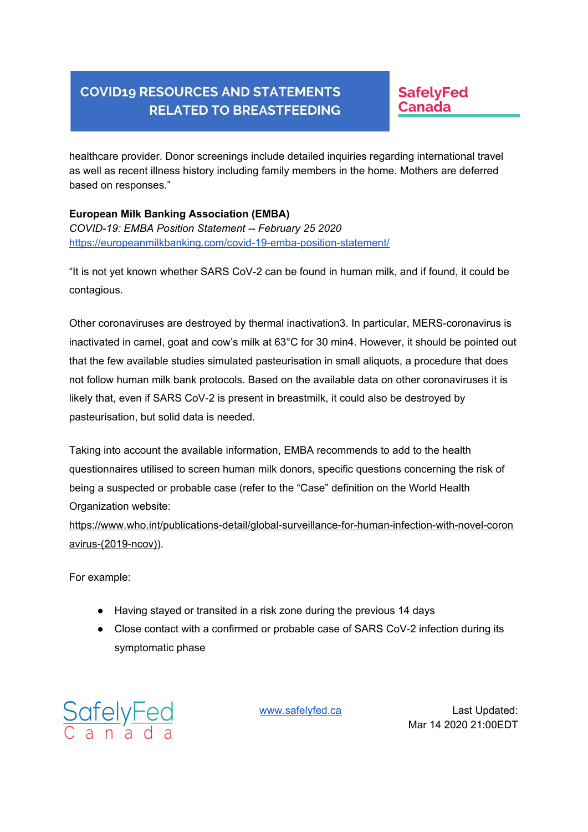**SafelyFed Canada** 

healthcare provider. Donor screenings include detailed inquiries regarding international travel as well as recent illness history including family members in the home. Mothers are deferred based on responses."

**European Milk Banking Association (EMBA)** *COVID-19: EMBA Position Statement -- February 25 2020* https://europeanmilkbanking.com/covid-19-emba-position-statement/

"It is not yet known whether SARS CoV-2 can be found in human milk, and if found, it could be contagious.

Other coronaviruses are destroyed by thermal inactivation3. In particular, MERS-coronavirus is inactivated in camel, goat and cow's milk at 63°C for 30 min4. However, it should be pointed out that the few available studies simulated pasteurisation in small aliquots, a procedure that does not follow human milk bank protocols. Based on the available data on other coronaviruses it is likely that, even if SARS CoV-2 is present in breastmilk, it could also be destroyed by pasteurisation, but solid data is needed.

Taking into account the available information, EMBA recommends to add to the health questionnaires utilised to screen human milk donors, specific questions concerning the risk of being a suspected or probable case (refer to the "Case" definition on the World Health Organization website:

https://www.who.int/publications-detail/global-surveillance-for-human-infection-with-novel-coron avirus-(2019-ncov)).

For example:

- Having stayed or transited in a risk zone during the previous 14 days
- Close contact with a confirmed or probable case of SARS CoV-2 infection during its symptomatic phase